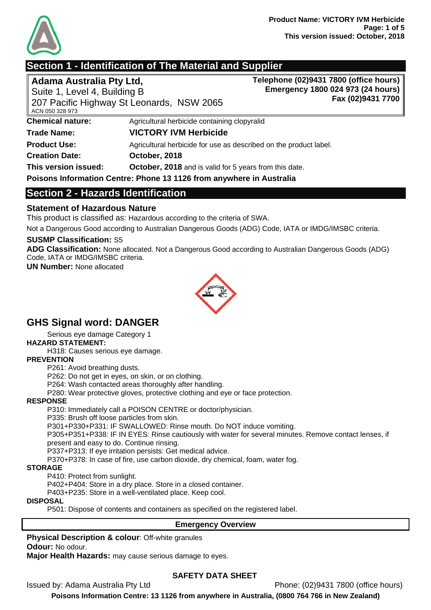

## **Section 1 - Identification of The Material and Supplier**

**Adama Australia Pty Ltd,**  Suite 1, Level 4, Building B **Telephone (02)9431 7800 (office hours) Emergency 1800 024 973 (24 hours) Fax (02)9431 7700**

| ACN 050 328 973         | гı<br>207 Pacific Highway St Leonards, NSW 2065                      |
|-------------------------|----------------------------------------------------------------------|
| <b>Chemical nature:</b> | Agricultural herbicide containing clopyralid                         |
| <b>Trade Name:</b>      | <b>VICTORY IVM Herbicide</b>                                         |
| <b>Product Use:</b>     | Agricultural herbicide for use as described on the product label.    |
| <b>Creation Date:</b>   | October, 2018                                                        |
| This version issued:    | October, 2018 and is valid for 5 years from this date.               |
|                         | Poisons Information Centre: Phone 13 1126 from anywhere in Australia |

## **Section 2 - Hazards Identification**

### **Statement of Hazardous Nature**

This product is classified as: Hazardous according to the criteria of SWA.

Not a Dangerous Good according to Australian Dangerous Goods (ADG) Code, IATA or IMDG/IMSBC criteria.

#### **SUSMP Classification:** S5

**ADG Classification:** None allocated. Not a Dangerous Good according to Australian Dangerous Goods (ADG) Code, IATA or IMDG/IMSBC criteria.

**UN Number:** None allocated



## **GHS Signal word: DANGER**

Serious eye damage Category 1

#### **HAZARD STATEMENT:**

H318: Causes serious eye damage.

#### **PREVENTION**

P261: Avoid breathing dusts.

P262: Do not get in eyes, on skin, or on clothing.

P264: Wash contacted areas thoroughly after handling.

P280: Wear protective gloves, protective clothing and eye or face protection.

#### **RESPONSE**

P310: Immediately call a POISON CENTRE or doctor/physician.

P335: Brush off loose particles from skin.

P301+P330+P331: IF SWALLOWED: Rinse mouth. Do NOT induce vomiting.

P305+P351+P338: IF IN EYES: Rinse cautiously with water for several minutes. Remove contact lenses, if present and easy to do. Continue rinsing.

P337+P313: If eye irritation persists: Get medical advice.

P370+P378: In case of fire, use carbon dioxide, dry chemical, foam, water fog.

#### **STORAGE**

P410: Protect from sunlight.

P402+P404: Store in a dry place. Store in a closed container.

P403+P235: Store in a well-ventilated place. Keep cool.

#### **DISPOSAL**

P501: Dispose of contents and containers as specified on the registered label.

#### **Emergency Overview**

**Physical Description & colour**: Off-white granules

**Odour:** No odour.

**Major Health Hazards:** may cause serious damage to eyes.

#### **SAFETY DATA SHEET**

Issued by: Adama Australia Pty Ltd Phone: (02)9431 7800 (office hours)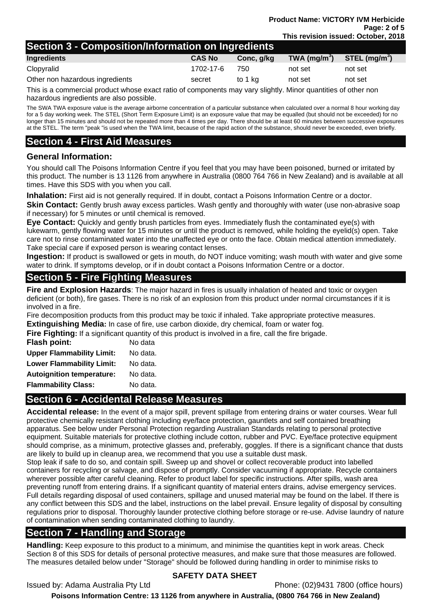## **Section 3 - Composition/Information on Ingredients**

|                                 | .             |            |               |                |
|---------------------------------|---------------|------------|---------------|----------------|
| Ingredients                     | <b>CAS No</b> | Conc, g/kg | TWA $(mg/m3)$ | STEL $(mq/m3)$ |
| Clopyralid                      | 1702-17-6     | 750        | not set       | not set        |
| Other non hazardous ingredients | secret        | to 1 ka    | not set       | not set        |
|                                 |               |            |               |                |

This is a commercial product whose exact ratio of components may vary slightly. Minor quantities of other non hazardous ingredients are also possible.

The SWA TWA exposure value is the average airborne concentration of a particular substance when calculated over a normal 8 hour working day for a 5 day working week. The STEL (Short Term Exposure Limit) is an exposure value that may be equalled (but should not be exceeded) for no longer than 15 minutes and should not be repeated more than 4 times per day. There should be at least 60 minutes between successive exposures at the STEL. The term "peak "is used when the TWA limit, because of the rapid action of the substance, should never be exceeded, even briefly.

## **Section 4 - First Aid Measures**

#### **General Information:**

You should call The Poisons Information Centre if you feel that you may have been poisoned, burned or irritated by this product. The number is 13 1126 from anywhere in Australia (0800 764 766 in New Zealand) and is available at all times. Have this SDS with you when you call.

**Inhalation:** First aid is not generally required. If in doubt, contact a Poisons Information Centre or a doctor.

**Skin Contact:** Gently brush away excess particles. Wash gently and thoroughly with water (use non-abrasive soap if necessary) for 5 minutes or until chemical is removed.

**Eye Contact:** Quickly and gently brush particles from eyes. Immediately flush the contaminated eye(s) with lukewarm, gently flowing water for 15 minutes or until the product is removed, while holding the eyelid(s) open. Take care not to rinse contaminated water into the unaffected eye or onto the face. Obtain medical attention immediately. Take special care if exposed person is wearing contact lenses.

**Ingestion:** If product is swallowed or gets in mouth, do NOT induce vomiting; wash mouth with water and give some water to drink. If symptoms develop, or if in doubt contact a Poisons Information Centre or a doctor.

## **Section 5 - Fire Fighting Measures**

**Fire and Explosion Hazards**: The major hazard in fires is usually inhalation of heated and toxic or oxygen deficient (or both), fire gases. There is no risk of an explosion from this product under normal circumstances if it is involved in a fire.

Fire decomposition products from this product may be toxic if inhaled. Take appropriate protective measures.

**Extinguishing Media:** In case of fire, use carbon dioxide, dry chemical, foam or water fog.

**Fire Fighting:** If a significant quantity of this product is involved in a fire, call the fire brigade.

| Flash point:                     | No data  |
|----------------------------------|----------|
| <b>Upper Flammability Limit:</b> | No data. |
| <b>Lower Flammability Limit:</b> | No data. |
| <b>Autoignition temperature:</b> | No data. |
| <b>Flammability Class:</b>       | No data. |
|                                  |          |

## **Section 6 - Accidental Release Measures**

**Accidental release:** In the event of a major spill, prevent spillage from entering drains or water courses. Wear full protective chemically resistant clothing including eye/face protection, gauntlets and self contained breathing apparatus. See below under Personal Protection regarding Australian Standards relating to personal protective equipment. Suitable materials for protective clothing include cotton, rubber and PVC. Eye/face protective equipment should comprise, as a minimum, protective glasses and, preferably, goggles. If there is a significant chance that dusts are likely to build up in cleanup area, we recommend that you use a suitable dust mask.

Stop leak if safe to do so, and contain spill. Sweep up and shovel or collect recoverable product into labelled containers for recycling or salvage, and dispose of promptly. Consider vacuuming if appropriate. Recycle containers wherever possible after careful cleaning. Refer to product label for specific instructions. After spills, wash area preventing runoff from entering drains. If a significant quantity of material enters drains, advise emergency services. Full details regarding disposal of used containers, spillage and unused material may be found on the label. If there is any conflict between this SDS and the label, instructions on the label prevail. Ensure legality of disposal by consulting regulations prior to disposal. Thoroughly launder protective clothing before storage or re-use. Advise laundry of nature of contamination when sending contaminated clothing to laundry.

## **Section 7 - Handling and Storage**

**Handling:** Keep exposure to this product to a minimum, and minimise the quantities kept in work areas. Check Section 8 of this SDS for details of personal protective measures, and make sure that those measures are followed. The measures detailed below under "Storage" should be followed during handling in order to minimise risks to

### **SAFETY DATA SHEET**

Issued by: Adama Australia Pty Ltd Phone: (02)9431 7800 (office hours)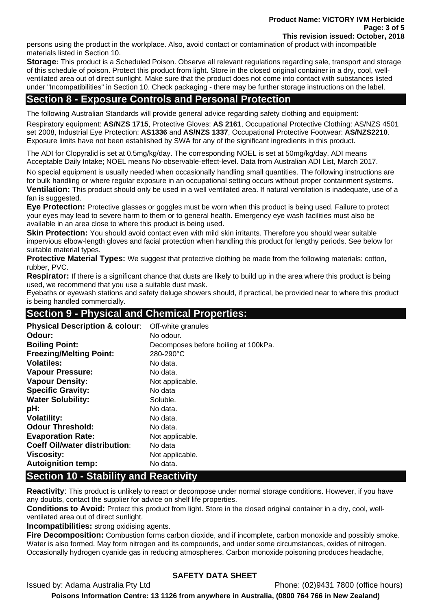**Product Name: VICTORY IVM Herbicide Page: 3 of 5 This revision issued: October, 2018** 

persons using the product in the workplace. Also, avoid contact or contamination of product with incompatible materials listed in Section 10.

**Storage:** This product is a Scheduled Poison. Observe all relevant regulations regarding sale, transport and storage of this schedule of poison. Protect this product from light. Store in the closed original container in a dry, cool, wellventilated area out of direct sunlight. Make sure that the product does not come into contact with substances listed under "Incompatibilities" in Section 10. Check packaging - there may be further storage instructions on the label.

## **Section 8 - Exposure Controls and Personal Protection**

The following Australian Standards will provide general advice regarding safety clothing and equipment: Respiratory equipment: **AS/NZS 1715**, Protective Gloves: **AS 2161**, Occupational Protective Clothing: AS/NZS 4501 set 2008, Industrial Eye Protection: **AS1336** and **AS/NZS 1337**, Occupational Protective Footwear: **AS/NZS2210**. Exposure limits have not been established by SWA for any of the significant ingredients in this product.

The ADI for Clopyralid is set at 0.5mg/kg/day. The corresponding NOEL is set at 50mg/kg/day. ADI means Acceptable Daily Intake; NOEL means No-observable-effect-level. Data from Australian ADI List, March 2017.

No special equipment is usually needed when occasionally handling small quantities. The following instructions are for bulk handling or where regular exposure in an occupational setting occurs without proper containment systems. **Ventilation:** This product should only be used in a well ventilated area. If natural ventilation is inadequate, use of a fan is suggested.

**Eye Protection:** Protective glasses or goggles must be worn when this product is being used. Failure to protect your eyes may lead to severe harm to them or to general health. Emergency eye wash facilities must also be available in an area close to where this product is being used.

**Skin Protection:** You should avoid contact even with mild skin irritants. Therefore you should wear suitable impervious elbow-length gloves and facial protection when handling this product for lengthy periods. See below for suitable material types.

**Protective Material Types:** We suggest that protective clothing be made from the following materials: cotton, rubber, PVC.

**Respirator:** If there is a significant chance that dusts are likely to build up in the area where this product is being used, we recommend that you use a suitable dust mask.

Eyebaths or eyewash stations and safety deluge showers should, if practical, be provided near to where this product is being handled commercially.

## **Section 9 - Physical and Chemical Properties:**

| Off-white granules                   |
|--------------------------------------|
| No odour.                            |
| Decomposes before boiling at 100kPa. |
| 280-290°C                            |
| No data.                             |
| No data.                             |
| Not applicable.                      |
| No data                              |
| Soluble.                             |
| No data.                             |
| No data.                             |
| No data.                             |
| Not applicable.                      |
| No data                              |
| Not applicable.                      |
| No data.                             |
|                                      |

## **Section 10 - Stability and Reactivity**

**Reactivity**: This product is unlikely to react or decompose under normal storage conditions. However, if you have any doubts, contact the supplier for advice on shelf life properties.

**Conditions to Avoid:** Protect this product from light. Store in the closed original container in a dry, cool, wellventilated area out of direct sunlight.

**Incompatibilities:** strong oxidising agents.

**Fire Decomposition:** Combustion forms carbon dioxide, and if incomplete, carbon monoxide and possibly smoke. Water is also formed. May form nitrogen and its compounds, and under some circumstances, oxides of nitrogen. Occasionally hydrogen cyanide gas in reducing atmospheres. Carbon monoxide poisoning produces headache,

### **SAFETY DATA SHEET**

Issued by: Adama Australia Pty Ltd Phone: (02)9431 7800 (office hours)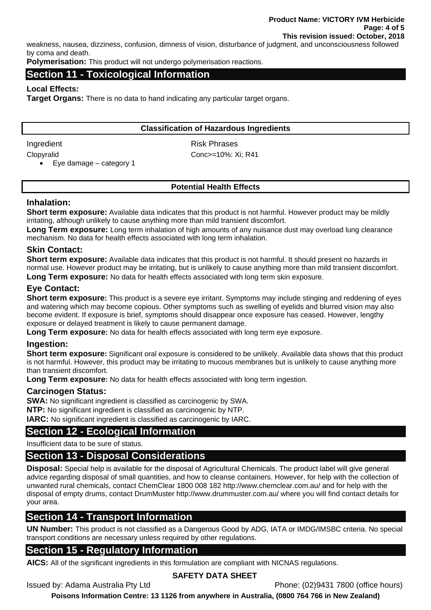weakness, nausea, dizziness, confusion, dimness of vision, disturbance of judgment, and unconsciousness followed by coma and death.

**Polymerisation:** This product will not undergo polymerisation reactions.

#### **Section 11 - Toxicological Information**

#### **Local Effects:**

**Target Organs:** There is no data to hand indicating any particular target organs.

#### **Classification of Hazardous Ingredients**

Ingredient Risk Phrases

Clopyralid Conc>=10%: Xi; R41

• Eye damage – category 1

#### **Potential Health Effects**

#### **Inhalation:**

**Short term exposure:** Available data indicates that this product is not harmful. However product may be mildly irritating, although unlikely to cause anything more than mild transient discomfort.

**Long Term exposure:** Long term inhalation of high amounts of any nuisance dust may overload lung clearance mechanism. No data for health effects associated with long term inhalation.

#### **Skin Contact:**

**Short term exposure:** Available data indicates that this product is not harmful. It should present no hazards in normal use. However product may be irritating, but is unlikely to cause anything more than mild transient discomfort. **Long Term exposure:** No data for health effects associated with long term skin exposure.

### **Eye Contact:**

**Short term exposure:** This product is a severe eye irritant. Symptoms may include stinging and reddening of eyes and watering which may become copious. Other symptoms such as swelling of eyelids and blurred vision may also become evident. If exposure is brief, symptoms should disappear once exposure has ceased. However, lengthy exposure or delayed treatment is likely to cause permanent damage.

**Long Term exposure:** No data for health effects associated with long term eye exposure.

#### **Ingestion:**

**Short term exposure:** Significant oral exposure is considered to be unlikely. Available data shows that this product is not harmful. However, this product may be irritating to mucous membranes but is unlikely to cause anything more than transient discomfort.

**Long Term exposure:** No data for health effects associated with long term ingestion.

#### **Carcinogen Status:**

**SWA:** No significant ingredient is classified as carcinogenic by SWA. **NTP:** No significant ingredient is classified as carcinogenic by NTP.

**IARC:** No significant ingredient is classified as carcinogenic by IARC.

## **Section 12 - Ecological Information**

Insufficient data to be sure of status.

## **Section 13 - Disposal Considerations**

**Disposal:** Special help is available for the disposal of Agricultural Chemicals. The product label will give general advice regarding disposal of small quantities, and how to cleanse containers. However, for help with the collection of unwanted rural chemicals, contact ChemClear 1800 008 182 http://www.chemclear.com.au/ and for help with the disposal of empty drums, contact DrumMuster http://www.drummuster.com.au/ where you will find contact details for your area.

## **Section 14 - Transport Information**

**UN Number:** This product is not classified as a Dangerous Good by ADG, IATA or IMDG/IMSBC criteria. No special transport conditions are necessary unless required by other regulations.

### **Section 15 - Regulatory Information**

**AICS:** All of the significant ingredients in this formulation are compliant with NICNAS regulations.

#### **SAFETY DATA SHEET**

Issued by: Adama Australia Pty Ltd Phone: (02)9431 7800 (office hours)